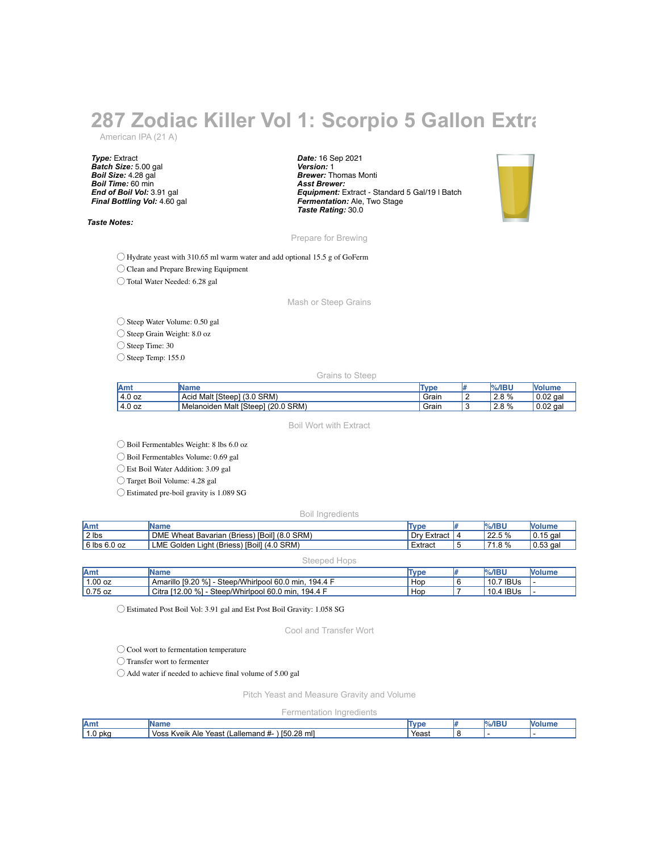## **287 Zodiac Killer Vol 1: Scorpio 5 Gallon Extra** American IPA (21 A)

*Type:* Extract *Batch Size:* 5.00 gal *Boil Size:* 4.28 gal *Boil Time:* 60 min *End of Boil Vol:* 3.91 gal *Final Bottling Vol:* 4.60 gal

*Taste Notes:*

*Date:* 16 Sep 2021 *Version:* 1 *Brewer:* Thomas Monti *Asst Brewer: Equipment:* Extract - Standard 5 Gal/19 l Batch *Fermentation:* Ale, Two Stage *Taste Rating:* 30.0



Prepare for Brewing

◯ Hydrate yeast with 310.65 ml warm water and add optional 15.5 g of GoFerm

◯ Clean and Prepare Brewing Equipment

◯ Total Water Needed: 6.28 gal

Mash or Steep Grains

◯ Steep Water Volume: 0.50 gal

◯ Steep Grain Weight: 8.0 oz

◯ Steep Time: 30

◯ Steep Temp: 155.0

Grains to Steep

| <b>Am</b>   | Name                                           | Type  | %/IBU<br>in/ | <b>Volum</b> |
|-------------|------------------------------------------------|-------|--------------|--------------|
| 4.0 oz<br>4 | SRM)<br>Malt [Steep]<br>$\sim$<br>Acid<br>10.U | Grair | 2.8%         | $0.02$ gal   |
| 4.0 oz      | $(20.0$ SRM)<br>Malt [Steep]<br>, Melanoider   | Grair | 2.8%         | $0.02$ gal   |

Boil Wort with Extract

◯ Boil Fermentables Weight: 8 lbs 6.0 oz

◯ Boil Fermentables Volume: 0.69 gal

◯ Est Boil Water Addition: 3.09 gal

◯ Target Boil Volume: 4.28 gal

◯ Estimated pre-boil gravity is 1.089 SG

Boil Ingredients

| Amt          | IName                                                     | Type        | $%$ /IBU | <b>Volume</b> |
|--------------|-----------------------------------------------------------|-------------|----------|---------------|
| 2 lbs        | DME Wheat Bavarian (Briess) [Boil] (8.0 SRM)              | Dry Extract | 22.5 %   | $0.15$ gal    |
| 6 lbs 6.0 oz | $(4.0$ SRM)<br>LME Golden Light (Briess)<br><b>IBoill</b> | Extract     | 71.8 %   | $0.53$ gal    |

## Steeped Hops

| <b>IAmt</b> | Name                                                      | Type | $%$ /IBU  | <b>Nolume</b> |
|-------------|-----------------------------------------------------------|------|-----------|---------------|
| 1.00 oz     | Amarillo [9.20 %]<br>Steep/Whirlpool 60.0 min.<br>194.4 F | Hop  | 10.7 IBUs |               |
| $0.75$ oz   | Citra [12.00 %] -<br>Steep/Whirlpool 60.0 min,<br>194.4 F | Hop  | 10.4 IBUs |               |

◯ Estimated Post Boil Vol: 3.91 gal and Est Post Boil Gravity: 1.058 SG

Cool and Transfer Wort

◯ Cool wort to fermentation temperature

◯ Transfer wort to fermenter

◯ Add water if needed to achieve final volume of 5.00 gal

Pitch Yeast and Measure Gravity and Volume

Fermentation Ingredients

| Amt     | loma<br>ume                                                                              | Tvpe | /IBU | w |
|---------|------------------------------------------------------------------------------------------|------|------|---|
| 1.0 pka | [50.28 ml]<br>$\textcolor{red}{\textsf{L}}$ allemand #-<br>Voss<br>Kveik<br>Yeast<br>Ale | Yeas |      |   |